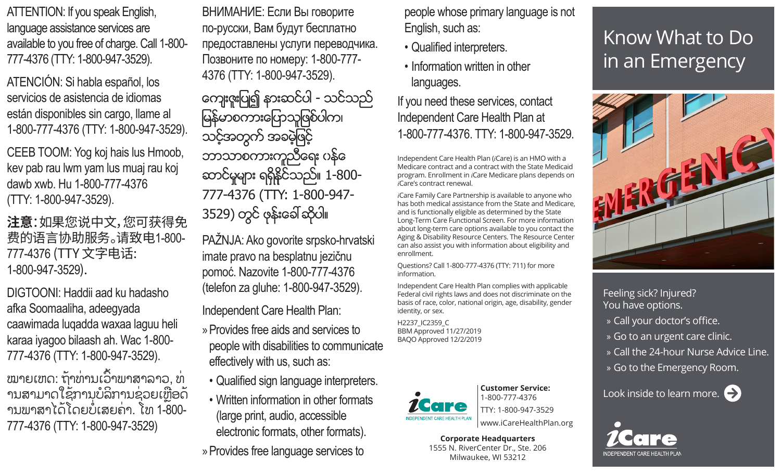ATTENTION: If you speak English, language assistance services are available to you free of charge. Call 1-800- 777-4376 (TTY: 1-800-947-3529).

ATENCIÓN: Si habla español, los servicios de asistencia de idiomas están disponibles sin cargo, llame al 1-800-777-4376 (TTY: 1-800-947-3529).

CEEB TOOM: Yog koj hais lus Hmoob, kev pab rau lwm yam lus muaj rau koj dawb xwb. Hu 1-800-777-4376 (TTY: 1-800-947-3529).

**注意**:如果您说中文,您可获得免 费的语言协助服务。请致电1-800- 777-4376 (TTY 文字电话: 1-800-947-3529).

DIGTOONI: Haddii aad ku hadasho afka Soomaaliha, adeegyada caawimada luqadda waxaa laguu heli karaa iyagoo bilaash ah. Wac 1-800- 777-4376 (TTY: 1-800-947-3529).

ໝາຍເຫດ: ຖ້າທ່ານເວົ້າພາສາລາວ, ທ່ ານສາມາດໃຊ້ການບໍລິການຊ່ວຍເຫຼືອດ້ ານພາສາໄດ້ໂດຍບໍ່ເສຍຄ່າ. ໂທ 1-800- 777-4376 (TTY: 1-800-947-3529)

ВНИМАНИЕ: Если Вы говорите по-русски, Вам будут бесплатно предоставлены услуги переводчика. Позвоните по номеру: 1-800-777- 4376 (TTY: 1-800-947-3529).

ကျေးဇူးပြု၍ နားဆင်ပါ - သင်သည် ျမန္မာစကားေျပာသူျဖစ္ပါက၊ သင့္အတြက္ အခမဲ့ျဖင့္ ဘာသာစကားကူညီေရး ၀န္ေ ဆာင္မႈမ်ား ရရွိနိုင္သည္။ 1-800- 777-4376 (TTY: 1-800-947- 3529) တွင် ဖုန်းခေါ် ဆိုပါ။

PAŽNJA: Ako govorite srpsko-hrvatski imate pravo na besplatnu jezičnu pomoć. Nazovite 1-800-777-4376 (telefon za gluhe: 1-800-947-3529).

Independent Care Health Plan:

»Provides free aids and services to people with disabilities to communicate effectively with us, such as:

- Qualified sign language interpreters.
- Written information in other formats (large print, audio, accessible electronic formats, other formats).
- »Provides free language services to

people whose primary language is not English, such as:

- Qualified interpreters.
- Information written in other languages.

If you need these services, contact Independent Care Health Plan at 1-800-777-4376. TTY: 1-800-947-3529.

Independent Care Health Plan (*i*Care) is an HMO with a Medicare contract and a contract with the State Medicaid program. Enrollment in *i*Care Medicare plans depends on *i*Care's contract renewal.

*i*Care Family Care Partnership is available to anyone who has both medical assistance from the State and Medicare, and is functionally eligible as determined by the State Long-Term Care Functional Screen. For more information about long-term care options available to you contact the Aging & Disability Resource Centers. The Resource Center can also assist you with information about eligibility and enrollment.

Questions? Call 1-800-777-4376 (TTY: 711) for more information.

Independent Care Health Plan complies with applicable Federal civil rights laws and does not discriminate on the basis of race, color, national origin, age, disability, gender identity, or sex.

H2237\_IC2359\_C BBM Approved 11/27/2019 BAQO Approved 12/2/2019



**Customer Service:** 1-800-777-4376 TTY: 1-800-947-3529 www.iCareHealthPlan.org

**Corporate Headquarters** 1555 N. RiverCenter Dr., Ste. 206 Milwaukee, WI 53212

# Know What to Do in an Emergency



Feeling sick? Injured? You have options.

- » Call your doctor's office.
- » Go to an urgent care clinic.
- » Call the 24-hour Nurse Advice Line.
- » Go to the Emergency Room.

Look inside to learn more.